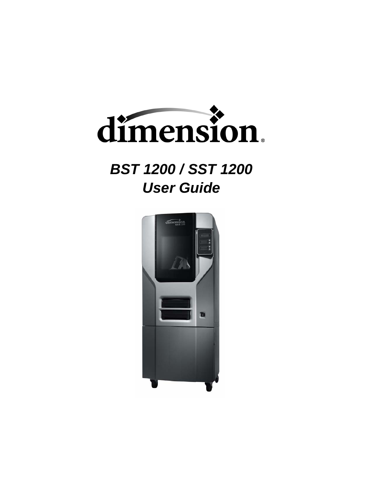

# *BST 1200 / SST 1200 User Guide*

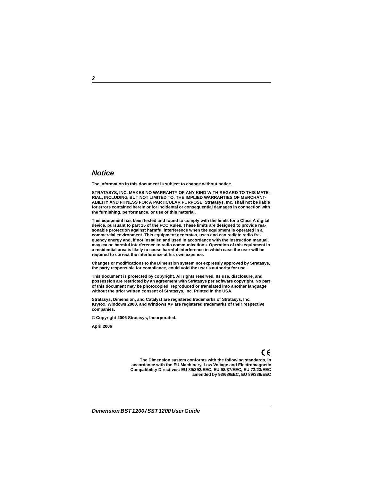### *Notice*

**The information in this document is subject to change without notice.**

**STRATASYS, INC. MAKES NO WARRANTY OF ANY KIND WITH REGARD TO THIS MATE-RIAL, INCLUDING, BUT NOT LIMITED TO, THE IMPLIED WARRANTIES OF MERCHANT-ABILITY AND FITNESS FOR A PARTICULAR PURPOSE. Stratasys, Inc. shall not be liable for errors contained herein or for incidental or consequential damages in connection with the furnishing, performance, or use of this material.**

**This equipment has been tested and found to comply with the limits for a Class A digital device, pursuant to part 15 of the FCC Rules. These limits are designed to provide reasonable protection against harmful interference when the equipment is operated in a commercial environment. This equipment generates, uses and can radiate radio frequency energy and, if not installed and used in accordance with the instruction manual, may cause harmful interference to radio communications. Operation of this equipment in a residential area is likely to cause harmful interference in which case the user will be required to correct the interference at his own expense.**

**Changes or modifications to the Dimension system not expressly approved by Stratasys, the party responsible for compliance, could void the user's authority for use.**

**This document is protected by copyright. All rights reserved. Its use, disclosure, and possession are restricted by an agreement with Stratasys per software copyright. No part of this document may be photocopied, reproduced or translated into another language without the prior written consent of Stratasys, Inc. Printed in the USA.**

**Stratasys, Dimension, and Catalyst are registered trademarks of Stratasys, Inc. Krytox, Windows 2000, and Windows XP are registered trademarks of their respective companies.**

**© Copyright 2006 Stratasys, Incorporated.**

**April 2006**

## CE

**The Dimension system conforms with the following standards, in accordance with the EU Machinery, Low Voltage and Electromagnetic Compatibility Directives: EU 89/392/EEC, EU 98/37/EEC, EU 73/23/EEC amended by 93/68/EEC, EU 89/336/EEC**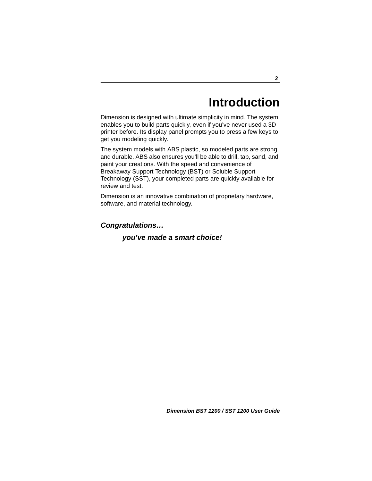# **Introduction**

Dimension is designed with ultimate simplicity in mind. The system enables you to build parts quickly, even if you've never used a 3D printer before. Its display panel prompts you to press a few keys to get you modeling quickly.

The system models with ABS plastic, so modeled parts are strong and durable. ABS also ensures you'll be able to drill, tap, sand, and paint your creations. With the speed and convenience of Breakaway Support Technology (BST) or Soluble Support Technology (SST), your completed parts are quickly available for review and test.

Dimension is an innovative combination of proprietary hardware, software, and material technology.

*Congratulations…*

### *you've made a smart choice!*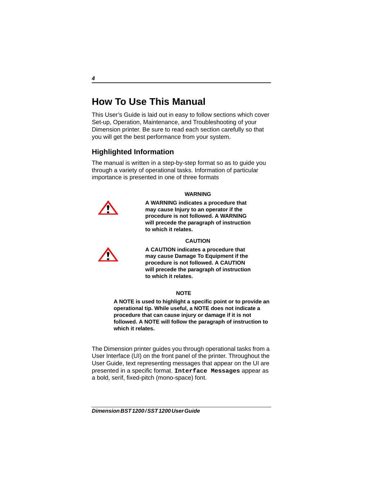## **How To Use This Manual**

This User's Guide is laid out in easy to follow sections which cover Set-up, Operation, Maintenance, and Troubleshooting of your Dimension printer. Be sure to read each section carefully so that you will get the best performance from your system.

### **Highlighted Information**

The manual is written in a step-by-step format so as to guide you through a variety of operational tasks. Information of particular importance is presented in one of three formats



### **WARNING**

**A WARNING indicates a procedure that may cause Injury to an operator if the procedure is not followed. A WARNING will precede the paragraph of instruction to which it relates.**

### **CAUTION**



**A CAUTION indicates a procedure that may cause Damage To Equipment if the procedure is not followed. A CAUTION will precede the paragraph of instruction to which it relates.**

### **NOTE**

**A NOTE is used to highlight a specific point or to provide an operational tip. While useful, a NOTE does not indicate a procedure that can cause injury or damage if it is not followed. A NOTE will follow the paragraph of instruction to which it relates.** 

The Dimension printer guides you through operational tasks from a User Interface (UI) on the front panel of the printer. Throughout the User Guide, text representing messages that appear on the UI are presented in a specific format. **Interface Messages** appear as a bold, serif, fixed-pitch (mono-space) font.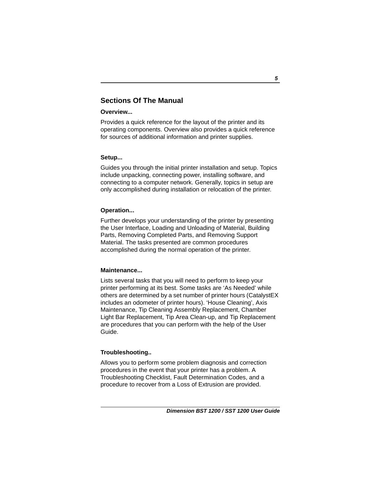### **Sections Of The Manual**

### **Overview...**

Provides a quick reference for the layout of the printer and its operating components. Overview also provides a quick reference for sources of additional information and printer supplies.

### **Setup...**

Guides you through the initial printer installation and setup. Topics include unpacking, connecting power, installing software, and connecting to a computer network. Generally, topics in setup are only accomplished during installation or relocation of the printer.

### **Operation...**

Further develops your understanding of the printer by presenting the User Interface, Loading and Unloading of Material, Building Parts, Removing Completed Parts, and Removing Support Material. The tasks presented are common procedures accomplished during the normal operation of the printer.

### **Maintenance...**

Lists several tasks that you will need to perform to keep your printer performing at its best. Some tasks are 'As Needed' while others are determined by a set number of printer hours (CatalystEX includes an odometer of printer hours). 'House Cleaning', Axis Maintenance, Tip Cleaning Assembly Replacement, Chamber Light Bar Replacement, Tip Area Clean-up, and Tip Replacement are procedures that you can perform with the help of the User Guide.

### **Troubleshooting..**

Allows you to perform some problem diagnosis and correction procedures in the event that your printer has a problem. A Troubleshooting Checklist, Fault Determination Codes, and a procedure to recover from a Loss of Extrusion are provided.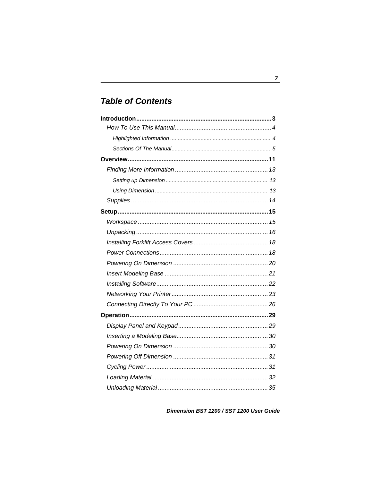## **Table of Contents**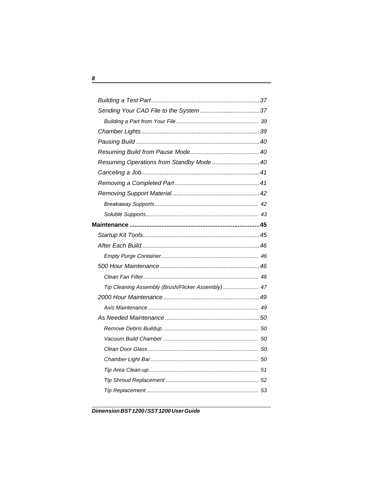| Resuming Operations from Standby Mode 40           |  |
|----------------------------------------------------|--|
|                                                    |  |
|                                                    |  |
|                                                    |  |
|                                                    |  |
|                                                    |  |
|                                                    |  |
|                                                    |  |
|                                                    |  |
|                                                    |  |
|                                                    |  |
|                                                    |  |
| Tip Cleaning Assembly (Brush/Flicker Assembly)  47 |  |
|                                                    |  |
|                                                    |  |
|                                                    |  |
|                                                    |  |
|                                                    |  |
|                                                    |  |
|                                                    |  |
|                                                    |  |
|                                                    |  |
|                                                    |  |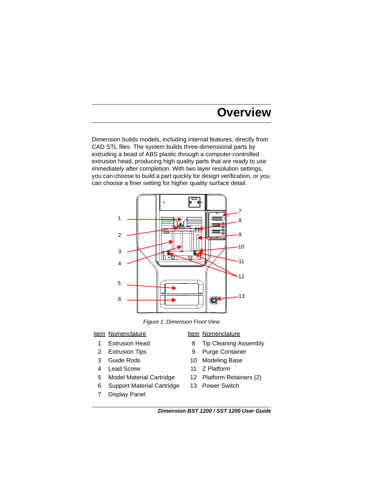# **Overview**

Dimension builds models, including internal features, directly from CAD STL files. The system builds three-dimensional parts by extruding a bead of ABS plastic through a computer-controlled extrusion head, producing high quality parts that are ready to use immediately after completion. With two layer resolution settings, you can choose to build a part quickly for design verification, or you can choose a finer setting for higher quality surface detail.



*Figure 1: Dimension Front View*

### Item Nomenclature Item Nomenclature

- 
- 
- 
- 4 Lead Screw 11 Z Platform
- 5 Model Material Cartridge 12 Platform Retainers (2)
- 6 Support Material Cartridge 13 Power Switch
- 7 Display Panel

- 1 Extrusion Head 8 Tip Cleaning Assembly
- 2 Extrusion Tips 9 Purge Container
- 3 Guide Rods 10 Modeling Base
	-
	-
	-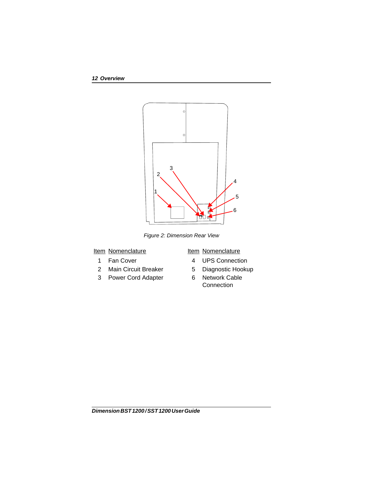

*Figure 2: Dimension Rear View*

### Item Nomenclature Item Nomenclature

- 
- 2 Main Circuit Breaker 5 Diagnostic Hookup
- 3 Power Cord Adapter 6 Network Cable

- 1 Fan Cover 4 UPS Connection
	-
	- **Connection**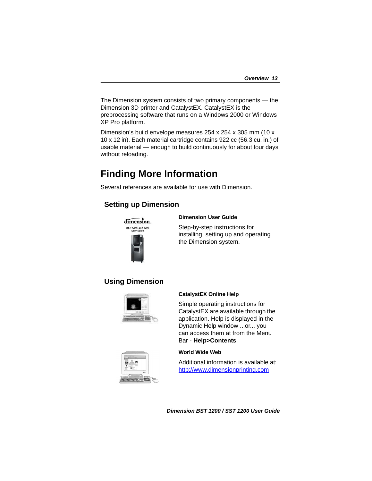The Dimension system consists of two primary components — the Dimension 3D printer and CatalystEX. CatalystEX is the preprocessing software that runs on a Windows 2000 or Windows XP Pro platform.

Dimension's build envelope measures 254 x 254 x 305 mm (10 x 10 x 12 in). Each material cartridge contains 922 cc (56.3 cu. in.) of usable material — enough to build continuously for about four days without reloading.

## **Finding More Information**

Several references are available for use with Dimension.

### **Setting up Dimension**



### **Dimension User Guide**

Step-by-step instructions for installing, setting up and operating the Dimension system.

### **Using Dimension**



### **CatalystEX Online Help**

Simple operating instructions for CatalystEX are available through the application. Help is displayed in the Dynamic Help window ...or... you can access them at from the Menu Bar - **Help>Contents**.



### **World Wide Web**

Additional information is available at: <http://www.dimensionprinting.com>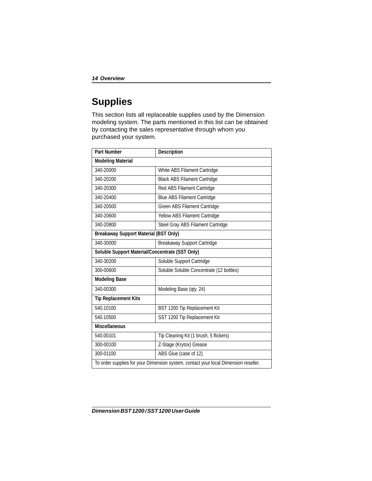## **Supplies**

This section lists all replaceable supplies used by the Dimension modeling system. The parts mentioned in this list can be obtained by contacting the sales representative through whom you purchased your system.

| <b>Part Number</b>                                                                  | Description                              |  |
|-------------------------------------------------------------------------------------|------------------------------------------|--|
| <b>Modeling Material</b>                                                            |                                          |  |
| 340-20000                                                                           | White ABS Filament Cartridge             |  |
| 340-20200                                                                           | <b>Black ABS Filament Cartridge</b>      |  |
| 340-20300                                                                           | Red ABS Filament Cartridge               |  |
| 340-20400                                                                           | <b>Blue ABS Filament Cartridge</b>       |  |
| 340-20500                                                                           | Green ABS Filament Cartridge             |  |
| 340-20600                                                                           | Yellow ABS Filament Cartridge            |  |
| 340-20800                                                                           | Steel Gray ABS Filament Cartridge        |  |
| <b>Breakaway Support Material (BST Only)</b>                                        |                                          |  |
| 340-30000                                                                           | Breakaway Support Cartridge              |  |
| Soluble Support Material/Concentrate (SST Only)                                     |                                          |  |
| 340-30200                                                                           | Soluble Support Cartridge                |  |
| 300-00600                                                                           | Soluble Soluble Concentrate (12 bottles) |  |
| <b>Modeling Base</b>                                                                |                                          |  |
| 340-00300                                                                           | Modeling Base (qty. 24)                  |  |
| <b>Tip Replacement Kits</b>                                                         |                                          |  |
| 540.10100                                                                           | BST 1200 Tip Replacement Kit             |  |
| 540.10500                                                                           | SST 1200 Tip Replacement Kit             |  |
| <b>Miscellaneous</b>                                                                |                                          |  |
| 540.00101                                                                           | Tip Cleaning Kit (1 brush, 5 flickers)   |  |
| 300-00100                                                                           | Z-Stage (Krytox) Grease                  |  |
| 300-01100                                                                           | ABS Glue (case of 12)                    |  |
| To order supplies for your Dimension system, contact your local Dimension reseller. |                                          |  |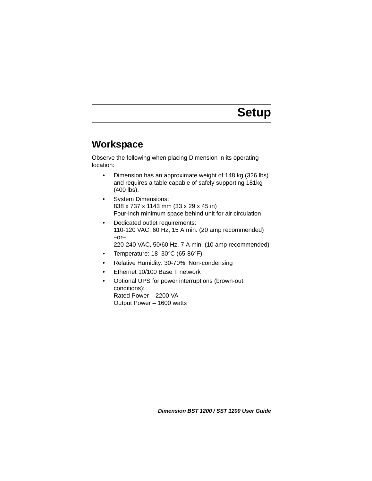# <span id="page-14-2"></span>**Setup**

## <span id="page-14-1"></span><span id="page-14-0"></span>**Workspace**

Observe the following when placing Dimension in its operating location:

- Dimension has an approximate weight of 148 kg (326 lbs) and requires a table capable of safely supporting 181kg (400 lbs).
- System Dimensions: 838 x 737 x 1143 mm (33 x 29 x 45 in) Four-inch minimum space behind unit for air circulation
- Dedicated outlet requirements: 110-120 VAC, 60 Hz, 15 A min. (20 amp recommended) –or– 220-240 VAC, 50/60 Hz, 7 A min. (10 amp recommended)
- Temperature: 18–30°C (65-86°F)
- Relative Humidity: 30-70%, Non-condensing
- Ethernet 10/100 Base T network
- Optional UPS for power interruptions (brown-out conditions): Rated Power – 2200 VA Output Power – 1600 watts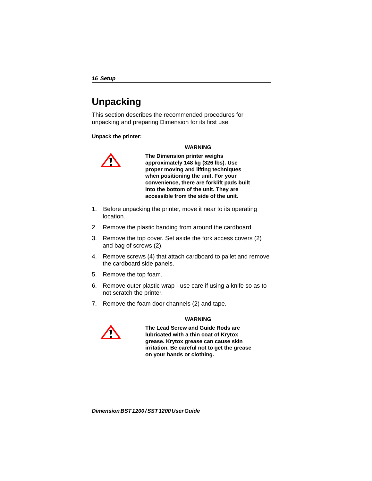## <span id="page-15-0"></span>**Unpacking**

This section describes the recommended procedures for unpacking and preparing Dimension for its first use.

**Unpack the printer:**

### **WARNING**



**The Dimension printer weighs approximately 148 kg (326 lbs). Use proper moving and lifting techniques when positioning the unit. For your convenience, there are forklift pads built into the bottom of the unit. They are accessible from the side of the unit.**

- 1. Before unpacking the printer, move it near to its operating location.
- 2. Remove the plastic banding from around the cardboard.
- 3. Remove the top cover. Set aside the fork access covers (2) and bag of screws (2).
- 4. Remove screws (4) that attach cardboard to pallet and remove the cardboard side panels.
- 5. Remove the top foam.
- 6. Remove outer plastic wrap use care if using a knife so as to not scratch the printer.
- 7. Remove the foam door channels (2) and tape.



### **WARNING**

**The Lead Screw and Guide Rods are lubricated with a thin coat of Krytox grease. Krytox grease can cause skin irritation. Be careful not to get the grease on your hands or clothing.**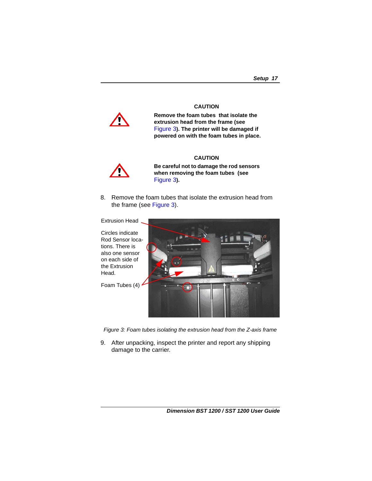#### **CAUTION**

**Remove the foam tubes that isolate the extrusion head from the frame (see**  Figure 3**). The printer will be damaged if powered on with the foam tubes in place.**

### **CAUTION**



**Be careful not to damage the rod sensors when removing the foam tubes (see**  Figure 3**).** 

8. Remove the foam tubes that isolate the extrusion head from the frame (see Figure 3).

Extrusion Head. Circles indicate Rod Sensor locations. There is also one sensor on each side of the Extrusion Head. Foam Tubes (4)

*Figure 3: Foam tubes isolating the extrusion head from the Z-axis frame*

9. After unpacking, inspect the printer and report any shipping damage to the carrier.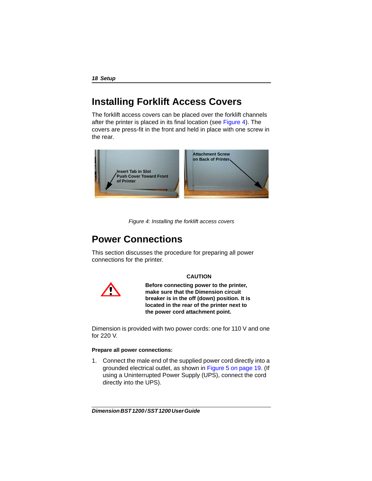## <span id="page-17-0"></span>**Installing Forklift Access Covers**

The forklift access covers can be placed over the forklift channels after the printer is placed in its final location (see [Figure 4](#page-17-2)). The covers are press-fit in the front and held in place with one screw in the rear.



*Figure 4: Installing the forklift access covers*

## <span id="page-17-2"></span><span id="page-17-1"></span>**Power Connections**

This section discusses the procedure for preparing all power connections for the printer.



**CAUTION**

**Before connecting power to the printer, make sure that the Dimension circuit breaker is in the off (down) position. It is located in the rear of the printer next to the power cord attachment point.**

Dimension is provided with two power cords: one for 110 V and one for 220 V.

### **Prepare all power connections:**

1. Connect the male end of the supplied power cord directly into a grounded electrical outlet, as shown in [Figure 5 on page 19.](#page-18-0) (If using a Uninterrupted Power Supply (UPS), connect the cord directly into the UPS).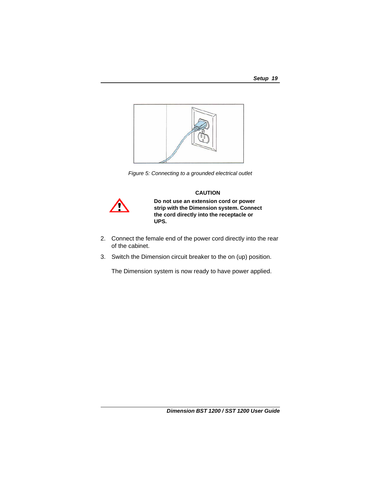

*Figure 5: Connecting to a grounded electrical outlet*

### **CAUTION**

<span id="page-18-0"></span>

**Do not use an extension cord or power strip with the Dimension system. Connect the cord directly into the receptacle or UPS.** 

- 2. Connect the female end of the power cord directly into the rear of the cabinet.
- 3. Switch the Dimension circuit breaker to the on (up) position.

The Dimension system is now ready to have power applied.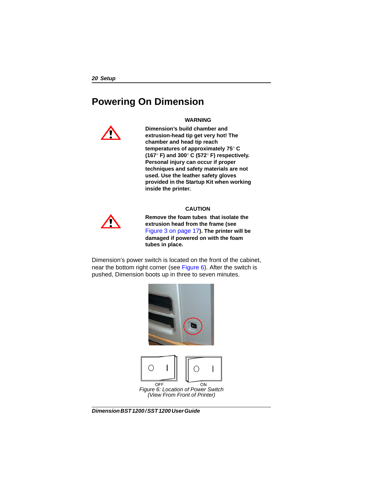## <span id="page-19-1"></span><span id="page-19-0"></span>**Powering On Dimension**

#### **WARNING**



**Dimension's build chamber and extrusion-head tip get very hot! The chamber and head tip reach temperatures of approximately 75**° **C (167**° **F) and 300**° **C (572**° **F) respectively. Personal injury can occur if proper techniques and safety materials are not used. Use the leather safety gloves provided in the Startup Kit when working inside the printer.**

#### **CAUTION**



**Remove the foam tubes that isolate the extrusion head from the frame (see**  Figure 3 on page 17**). The printer will be damaged if powered on with the foam tubes in place.**

Dimension's power switch is located on the front of the cabinet, near the bottom right corner (see Figure 6). After the switch is pushed, Dimension boots up in three to seven minutes.

<span id="page-19-2"></span>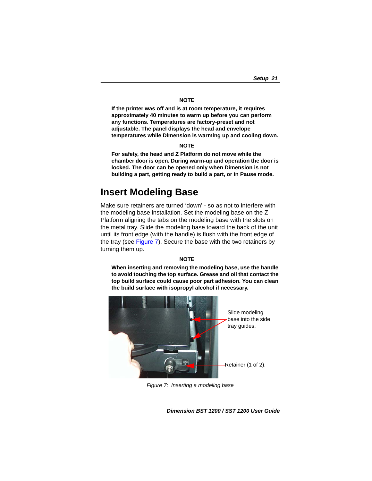#### **NOTE**

**If the printer was off and is at room temperature, it requires approximately 40 minutes to warm up before you can perform any functions. Temperatures are factory-preset and not adjustable. The panel displays the head and envelope temperatures while Dimension is warming up and cooling down.**

#### **NOTE**

**For safety, the head and Z Platform do not move while the chamber door is open. During warm-up and operation the door is locked. The door can be opened only when Dimension is not building a part, getting ready to build a part, or in Pause mode.**

### <span id="page-20-1"></span><span id="page-20-0"></span>**Insert Modeling Base**

Make sure retainers are turned 'down' - so as not to interfere with the modeling base installation. Set the modeling base on the Z Platform aligning the tabs on the modeling base with the slots on the metal tray. Slide the modeling base toward the back of the unit until its front edge (with the handle) is flush with the front edge of the tray (see Figure 7). Secure the base with the two retainers by turning them up.

#### **NOTE**

**When inserting and removing the modeling base, use the handle to avoid touching the top surface. Grease and oil that contact the top build surface could cause poor part adhesion. You can clean the build surface with isopropyl alcohol if necessary.**



*Figure 7: Inserting a modeling base*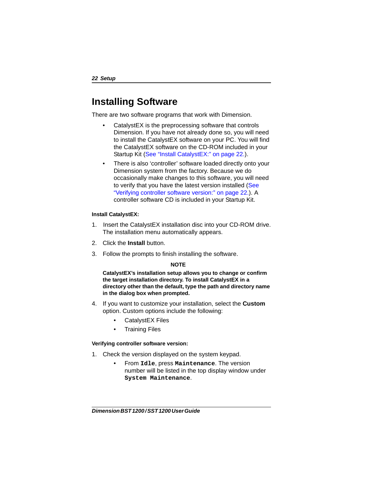## <span id="page-21-0"></span>**Installing Software**

There are two software programs that work with Dimension.

- CatalystEX is the preprocessing software that controls Dimension. If you have not already done so, you will need to install the CatalystEX software on your PC. You will find the CatalystEX software on the CD-ROM included in your Startup Kit [\(See "Install CatalystEX:" on page 22.\)](#page-21-1).
- There is also 'controller' software loaded directly onto your Dimension system from the factory. Because we do occasionally make changes to this software, you will need to verify that you have the latest version installed (See ["Verifying controller software version:" on page 22.\)](#page-21-2). A controller software CD is included in your Startup Kit.

### <span id="page-21-1"></span>**Install CatalystEX:**

- 1. Insert the CatalystEX installation disc into your CD-ROM drive. The installation menu automatically appears.
- 2. Click the **Install** button.
- 3. Follow the prompts to finish installing the software.

### **NOTE**

**CatalystEX's installation setup allows you to change or confirm the target installation directory. To install CatalystEX in a directory other than the default, type the path and directory name in the dialog box when prompted.**

- 4. If you want to customize your installation, select the **Custom**  option. Custom options include the following:
	- CatalystEX Files
	- Training Files

### <span id="page-21-2"></span>**Verifying controller software version:**

- 1. Check the version displayed on the system keypad.
	- From **Idle**, press **Maintenance**. The version number will be listed in the top display window under **System Maintenance**.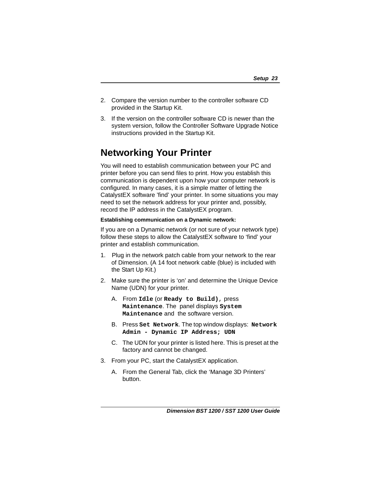- 2. Compare the version number to the controller software CD provided in the Startup Kit.
- 3. If the version on the controller software CD is newer than the system version, follow the Controller Software Upgrade Notice instructions provided in the Startup Kit.

## <span id="page-22-1"></span><span id="page-22-0"></span>**Networking Your Printer**

You will need to establish communication between your PC and printer before you can send files to print. How you establish this communication is dependent upon how your computer network is configured. In many cases, it is a simple matter of letting the CatalystEX software 'find' your printer. In some situations you may need to set the network address for your printer and, possibly, record the IP address in the CatalystEX program.

### **Establishing communication on a Dynamic network:**

If you are on a Dynamic network (or not sure of your network type) follow these steps to allow the CatalystEX software to 'find' your printer and establish communication.

- 1. Plug in the network patch cable from your network to the rear of Dimension. (A 14 foot network cable (blue) is included with the Start Up Kit.)
- 2. Make sure the printer is 'on' and determine the Unique Device Name (UDN) for your printer.
	- A. From **Idle** (or **Ready to Build)**, press **Maintenance**. The panel displays **System Maintenance** and the software version.
	- B. Press **Set Network**. The top window displays: **Network Admin - Dynamic IP Address; UDN**
	- C. The UDN for your printer is listed here. This is preset at the factory and cannot be changed.
- 3. From your PC, start the CatalystEX application.
	- A. From the General Tab, click the 'Manage 3D Printers' button.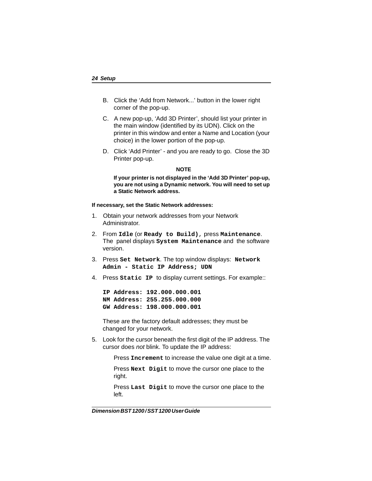- B. Click the 'Add from Network...' button in the lower right corner of the pop-up.
- C. A new pop-up, 'Add 3D Printer', should list your printer in the main window (identified by its UDN). Click on the printer in this window and enter a Name and Location (your choice) in the lower portion of the pop-up.
- D. Click 'Add Printer' and you are ready to go. Close the 3D Printer pop-up.

#### **NOTE**

**If your printer is not displayed in the 'Add 3D Printer' pop-up, you are not using a Dynamic network. You will need to set up a Static Network address.**

#### **If necessary, set the Static Network addresses:**

- 1. Obtain your network addresses from your Network Administrator.
- 2. From **Idle** (or **Ready to Build)**, press **Maintenance**. The panel displays **System Maintenance** and the software version.
- 3. Press **Set Network**. The top window displays: **Network Admin - Static IP Address; UDN**
- <span id="page-23-0"></span>4. Press **Static IP** to display current settings. For example::

**IP Address: 192.000.000.001 NM Address: 255.255.000.000 GW Address: 198.000.000.001**

These are the factory default addresses; they must be changed for your network.

5. Look for the cursor beneath the first digit of the IP address. The cursor does *not* blink. To update the IP address:

Press **Increment** to increase the value one digit at a time.

Press **Next Digit** to move the cursor one place to the right.

Press **Last Digit** to move the cursor one place to the left.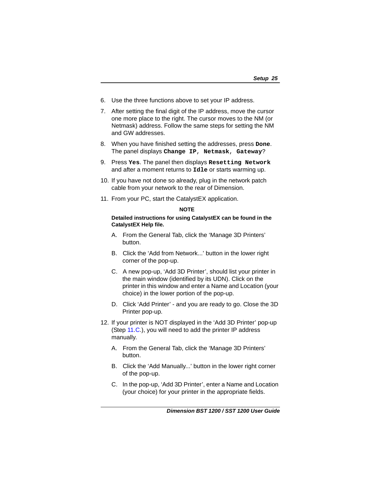- 6. Use the three functions above to set your IP address.
- 7. After setting the final digit of the IP address, move the cursor one more place to the right. The cursor moves to the NM (or Netmask) address. Follow the same steps for setting the NM and GW addresses.
- 8. When you have finished setting the addresses, press **Done**. The panel displays **Change IP**, **Netmask**, **Gateway**?
- 9. Press **Yes**. The panel then displays **Resetting Network** and after a moment returns to **Idle** or starts warming up.
- 10. If you have not done so already, plug in the network patch cable from your network to the rear of Dimension.
- <span id="page-24-0"></span>11. From your PC, start the CatalystEX application.

### **NOTE**

#### **Detailed instructions for using CatalystEX can be found in the CatalystEX Help file.**

- A. From the General Tab, click the 'Manage 3D Printers' button.
- B. Click the 'Add from Network...' button in the lower right corner of the pop-up.
- <span id="page-24-1"></span>C. A new pop-up, 'Add 3D Printer', should list your printer in the main window (identified by its UDN). Click on the printer in this window and enter a Name and Location (your choice) in the lower portion of the pop-up.
- D. Click 'Add Printer' and you are ready to go. Close the 3D Printer pop-up.
- 12. If your printer is NOT displayed in the 'Add 3D Printer' pop-up (Step [11](#page-24-0).[C](#page-24-1).), you will need to add the printer IP address manually.
	- A. From the General Tab, click the 'Manage 3D Printers' button.
	- B. Click the 'Add Manually...' button in the lower right corner of the pop-up.
	- C. In the pop-up, 'Add 3D Printer', enter a Name and Location (your choice) for your printer in the appropriate fields.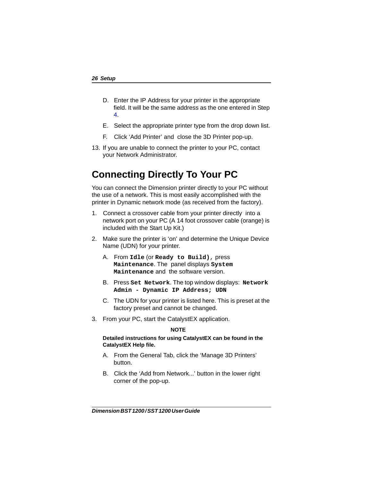- D. Enter the IP Address for your printer in the appropriate field. It will be the same address as the one entered in Step [4.](#page-23-0)
- E. Select the appropriate printer type from the drop down list.
- F. Click 'Add Printer' and close the 3D Printer pop-up.
- 13. If you are unable to connect the printer to your PC, contact your Network Administrator.

## <span id="page-25-0"></span>**Connecting Directly To Your PC**

You can connect the Dimension printer directly to your PC without the use of a network. This is most easily accomplished with the printer in Dynamic network mode (as received from the factory).

- 1. Connect a crossover cable from your printer directly into a network port on your PC (A 14 foot crossover cable (orange) is included with the Start Up Kit.)
- <span id="page-25-1"></span>2. Make sure the printer is 'on' and determine the Unique Device Name (UDN) for your printer.
	- A. From **Idle** (or **Ready to Build)**, press **Maintenance**. The panel displays **System Maintenance** and the software version.
	- B. Press **Set Network**. The top window displays: **Network Admin - Dynamic IP Address; UDN**
	- C. The UDN for your printer is listed here. This is preset at the factory preset and cannot be changed.
- <span id="page-25-2"></span>3. From your PC, start the CatalystEX application.

#### **NOTE**

#### **Detailed instructions for using CatalystEX can be found in the CatalystEX Help file.**

- A. From the General Tab, click the 'Manage 3D Printers' button.
- B. Click the 'Add from Network...' button in the lower right corner of the pop-up.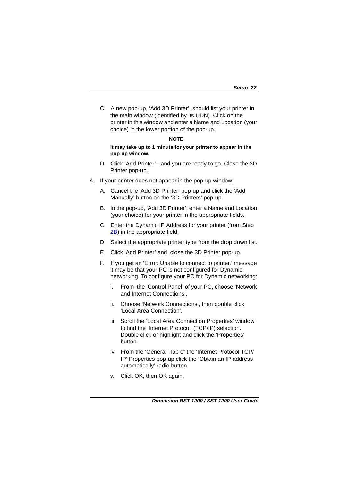C. A new pop-up, 'Add 3D Printer', should list your printer in the main window (identified by its UDN). Click on the printer in this window and enter a Name and Location (your choice) in the lower portion of the pop-up.

### **NOTE**

### **It may take up to 1 minute for your printer to appear in the pop-up window.**

- D. Click 'Add Printer' and you are ready to go. Close the 3D Printer pop-up.
- 4. If your printer does not appear in the pop-up window:
	- A. Cancel the 'Add 3D Printer' pop-up and click the 'Add Manually' button on the '3D Printers' pop-up.
	- B. In the pop-up, 'Add 3D Printer', enter a Name and Location (your choice) for your printer in the appropriate fields.
	- C. Enter the Dynamic IP Address for your printer (from Step 2B) in the appropriate field.
	- [D. Sel](#page-25-1)[ec](#page-25-2)t the appropriate printer type from the drop down list.
	- E. Click 'Add Printer' and close the 3D Printer pop-up.
	- F. If you get an 'Error: Unable to connect to printer.' message it may be that your PC is not configured for Dynamic networking. To configure your PC for Dynamic networking:
		- i. From the 'Control Panel' of your PC, choose 'Network and Internet Connections'.
		- ii. Choose 'Network Connections', then double click 'Local Area Connection'.
		- iii. Scroll the 'Local Area Connection Properties' window to find the 'Internet Protocol' (TCP/IP) selection. Double click or highlight and click the 'Properties' button.
		- iv. From the 'General' Tab of the 'Internet Protocol TCP/ IP' Properties pop-up click the 'Obtain an IP address automatically' radio button.
		- v. Click OK, then OK again.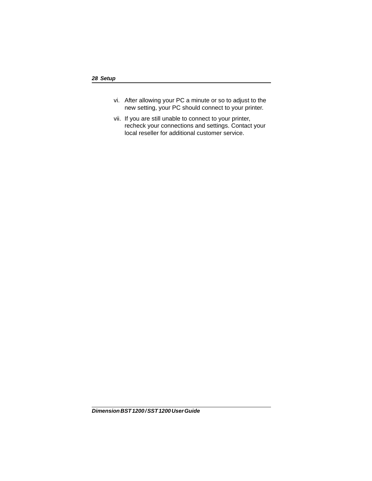- vi. After allowing your PC a minute or so to adjust to the new setting, your PC should connect to your printer.
- vii. If you are still unable to connect to your printer, recheck your connections and settings. Contact your local reseller for additional customer service.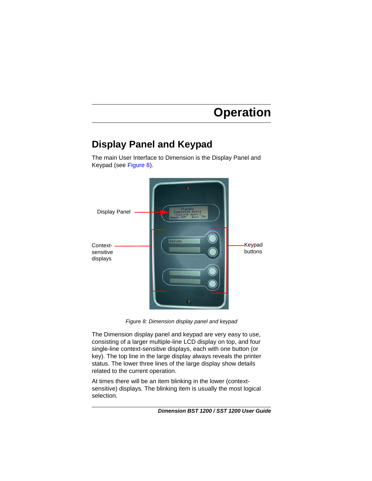# **Operation**

## <span id="page-28-1"></span><span id="page-28-0"></span>**Display Panel and Keypad**

The main User Interface to Dimension is the Display Panel and Keypad (see [Figure 8\)](#page-28-2).



*Figure 8: Dimension display panel and keypad*

<span id="page-28-2"></span>The Dimension display panel and keypad are very easy to use, consisting of a larger multiple-line LCD display on top, and four single-line context-sensitive displays, each with one button (or key). The top line in the large display always reveals the printer status. The lower three lines of the large display show details related to the current operation.

At times there will be an item blinking in the lower (contextsensitive) displays. The blinking item is usually the most logical selection.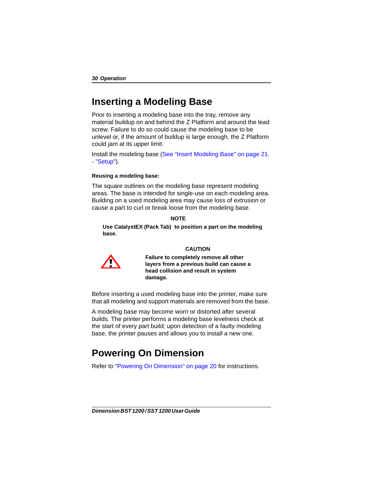## <span id="page-29-0"></span>**Inserting a Modeling Base**

Prior to inserting a modeling base into the tray, remove any material buildup on and behind the Z Platform and around the lead screw. Failure to do so could cause the modeling base to be unlevel or, if the amount of buildup is large enough, the Z Platform could jam at its upper limit.

Install the modeling base [\(See "Insert Modeling Base" on page 21.](#page-20-1) - ["Setup"\)](#page-14-2).

### **Reusing a modeling base:**

The square outlines on the modeling base represent modeling areas. The base is intended for single-use on each modeling area. Building on a used modeling area may cause loss of extrusion or cause a part to curl or break loose from the modeling base.

#### **NOTE**

**Use CatalystEX (Pack Tab) to position a part on the modeling base.**



### **CAUTION**

**Failure to completely remove all other layers from a previous build can cause a head collision and result in system damage.**

Before inserting a used modeling base into the printer, make sure that all modeling and support materials are removed from the base.

A modeling base may become worn or distorted after several builds. The printer performs a modeling base levelness check at the start of every part build; upon detection of a faulty modeling base, the printer pauses and allows you to install a new one.

## <span id="page-29-1"></span>**Powering On Dimension**

Refer to ["Powering On Dimension" on page 20](#page-19-1) for instructions.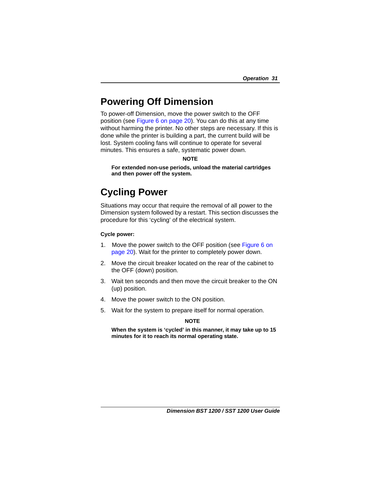## <span id="page-30-2"></span><span id="page-30-0"></span>**Powering Off Dimension**

To power-off Dimension, move the power switch to the OFF position (see [Figure 6 on page 20](#page-19-2)). You can do this at any time without harming the printer. No other steps are necessary. If this is done while the printer is building a part, the current build will be lost. System cooling fans will continue to operate for several minutes. This ensures a safe, systematic power down.

### **NOTE**

**For extended non-use periods, unload the material cartridges and then power off the system.**

## <span id="page-30-3"></span><span id="page-30-1"></span>**Cycling Power**

Situations may occur that require the removal of all power to the Dimension system followed by a restart. This section discusses the procedure for this 'cycling' of the electrical system.

### **Cycle power:**

- 1. Move the power switch to the OFF position (see [Figure 6 on](#page-19-2)  [page 20\)](#page-19-2). Wait for the printer to completely power down.
- 2. Move the circuit breaker located on the rear of the cabinet to the OFF (down) position.
- 3. Wait ten seconds and then move the circuit breaker to the ON (up) position.
- 4. Move the power switch to the ON position.
- 5. Wait for the system to prepare itself for normal operation.

### **NOTE**

**When the system is 'cycled' in this manner, it may take up to 15 minutes for it to reach its normal operating state.**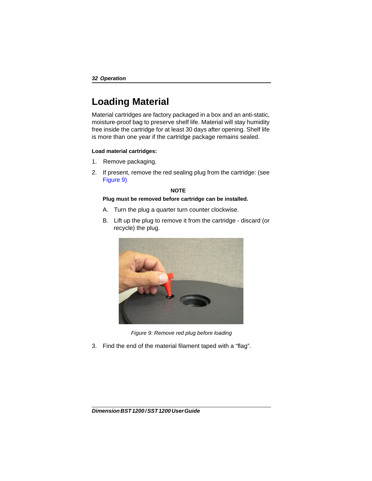## <span id="page-31-1"></span><span id="page-31-0"></span>**Loading Material**

Material cartridges are factory packaged in a box and an anti-static, moisture-proof bag to preserve shelf life. Material will stay humidity free inside the cartridge for at least 30 days after opening. Shelf life is more than one year if the cartridge package remains sealed.

### **Load material cartridges:**

- 1. Remove packaging.
- 2. If present, remove the red sealing plug from the cartridge: (see Figure 9)

#### **NOTE**

### **Plug must be removed before cartridge can be installed.**

- A. Turn the plug a quarter turn counter clockwise.
- B. Lift up the plug to remove it from the cartridge discard (or recycle) the plug.



*Figure 9: Remove red plug before loading*

3. Find the end of the material filament taped with a "flag".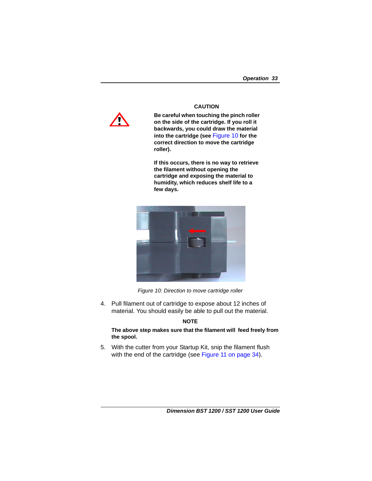

**CAUTION**

**Be careful when touching the pinch roller on the side of the cartridge. If you roll it backwards, you could draw the material into the cartridge (see** [Figure 10](#page-32-0) **for the correct direction to move the cartridge roller).**

**If this occurs, there is no way to retrieve the filament without opening the cartridge and exposing the material to humidity, which reduces shelf life to a few days.**



*Figure 10: Direction to move cartridge roller*

<span id="page-32-0"></span>4. Pull filament out of cartridge to expose about 12 inches of material. You should easily be able to pull out the material.

### **NOTE**

### **The above step makes sure that the filament will feed freely from the spool.**

5. With the cutter from your Startup Kit, snip the filament flush with the end of the cartridge (see Figure 11 on page 34).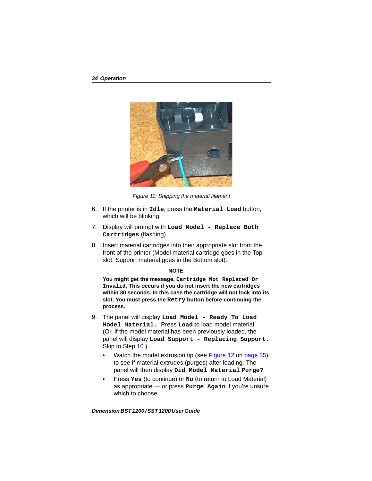

*Figure 11: Snipping the material filament*

- 6. If the printer is in **Idle**, press the **Material Load** button, which will be blinking.
- 7. Display will prompt with **Load Model Replace Both Cartridges** (flashing)
- 8. Insert material cartridges into their appropriate slot from the front of the printer (Model material cartridge goes in the Top slot; Support material goes in the Bottom slot).

### **NOTE**

**You might get the message, Cartridge Not Replaced Or Invalid. This occurs if you do not insert the new cartridges within 30 seconds. In this case the cartridge will not lock into its slot. You must press the Retry button before continuing the process.**

- <span id="page-33-0"></span>9. The panel will display **Load Model - Ready To Load Model Material.** Press **Load** to load model material. (Or, if the model material has been previously loaded, the panel will display **Load Support - Replacing Support.** Skip to Step [10.](#page-34-1))
	- Watch the model extrusion tip (see Figure 12 on page 35) to see if material extrudes (purges) after loading. The panel will then display **Did Model Material Purge?**
	- Press **Yes** (to continue) or **No** (to return to Load Material) as appropriate — or press **Purge Again** if you're unsure which to choose.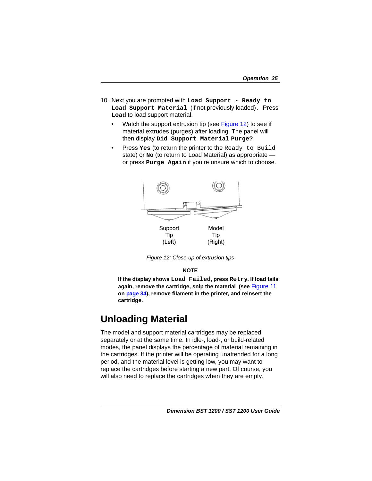- <span id="page-34-3"></span><span id="page-34-1"></span>10. Next you are prompted with **Load Support - Ready to Load Support Material** (if not previously loaded)**.** Press **Load** to load support material.
	- Watch the support extrusion tip (see Figure 12) to see if material extrudes (purges) after loading. The panel will then display **Did Support Material Purge?**
	- Press **Yes** (to return the printer to the Ready to Build state) or **No** (to return to Load Material) as appropriate or press **Purge Again** if you're unsure which to choose.



*Figure 12: Close-up of extrusion tips*

### **NOTE**

**If the display shows Load Failed, press Retry. If load fails again, remove the cartridge, snip the material (see** Figure 11 **on page 34), remove filament in the printer, and reinsert the cartridge.**

## <span id="page-34-2"></span><span id="page-34-0"></span>**Unloading Material**

The model and support material cartridges may be replaced separately or at the same time. In idle-, load-, or build-related modes, the panel displays the percentage of material remaining in the cartridges. If the printer will be operating unattended for a long period, and the material level is getting low, you may want to replace the cartridges before starting a new part. Of course, you will also need to replace the cartridges when they are empty.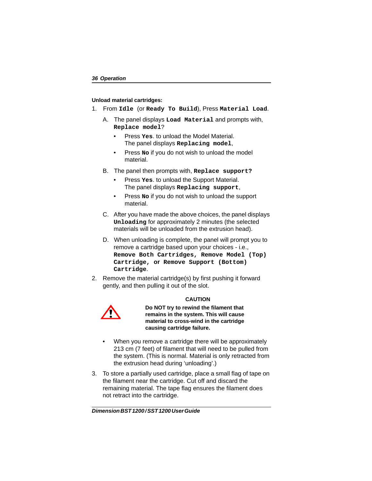### **Unload material cartridges:**

- 1. From **Idle** (or **Ready To Build**), Press **Material Load**.
	- A. The panel displays **Load Material** and prompts with, **Replace model**?
		- Press **Yes**. to unload the Model Material. The panel displays **Replacing model**,
		- Press **No** if you do not wish to unload the model material.
	- B. The panel then prompts with, **Replace support?**
		- Press **Yes**. to unload the Support Material. The panel displays **Replacing support**,
		- Press **No** if you do not wish to unload the support material.
	- C. After you have made the above choices, the panel displays **Unloading** for approximately 2 minutes (the selected materials will be unloaded from the extrusion head).
	- D. When unloading is complete, the panel will prompt you to remove a cartridge based upon your choices - i.e., **Remove Both Cartridges, Remove Model (Top) Cartridge, or Remove Support (Bottom) Cartridge**.
- <span id="page-35-0"></span>2. Remove the material cartridge(s) by first pushing it forward gently, and then pulling it out of the slot.



### **CAUTION**

**Do NOT try to rewind the filament that remains in the system. This will cause material to cross-wind in the cartridge causing cartridge failure.**

- When you remove a cartridge there will be approximately 213 cm (7 feet) of filament that will need to be pulled from the system. (This is normal. Material is only retracted from the extrusion head during 'unloading'.)
- <span id="page-35-1"></span>3. To store a partially used cartridge, place a small flag of tape on the filament near the cartridge. Cut off and discard the remaining material. The tape flag ensures the filament does not retract into the cartridge.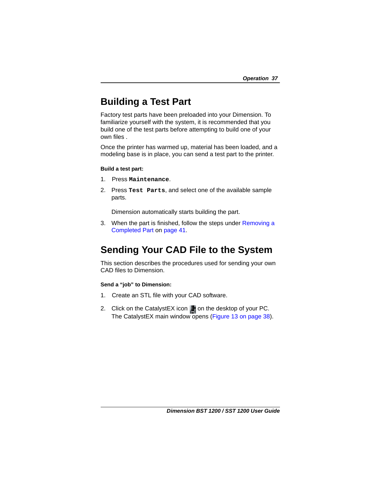## <span id="page-36-0"></span>**Building a Test Part**

Factory test parts have been preloaded into your Dimension. To familiarize yourself with the system, it is recommended that you build one of the test parts before attempting to build one of your own files .

Once the printer has warmed up, material has been loaded, and a modeling base is in place, you can send a test part to the printer.

### **Build a test part:**

- 1. Press **Maintenance**.
- 2. Press **Test Parts**, and select one of the available sample parts.

Dimension automatically starts building the part.

3. When the part is finished, follow the steps under [Removing a](#page-40-1)  [Completed Part](#page-40-1) on [page 41.](#page-40-1)

## <span id="page-36-1"></span>**Sending Your CAD File to the System**

This section describes the procedures used for sending your own CAD files to Dimension.

### **Send a "job" to Dimension:**

- 1. Create an STL file with your CAD software.
- 2. Click on the CatalystEX icon  $\blacksquare$  on the desktop of your PC. The CatalystEX main window opens (Figure 13 on page 38).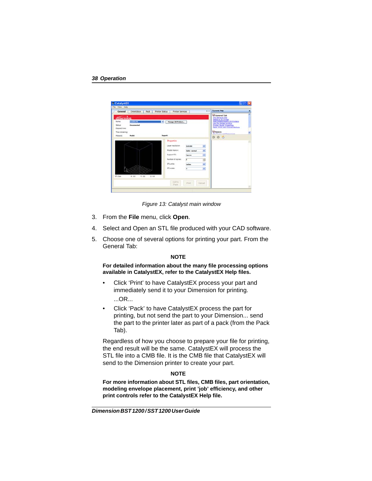

*Figure 13: Catalyst main window*

- 3. From the **File** menu, click **Open**.
- 4. Select and Open an STL file produced with your CAD software.
- 5. Choose one of several options for printing your part. From the General Tab:

### **NOTE**

### **For detailed information about the many file processing options available in CatalystEX, refer to the CatalystEX Help files.**

- Click 'Print' to have CatalystEX process your part and immediately send it to your Dimension for printing. ...OR...
- Click 'Pack' to have CatalystEX process the part for printing, but not send the part to your Dimension... send the part to the printer later as part of a pack (from the Pack Tab).

Regardless of how you choose to prepare your file for printing, the end result will be the same. CatalystEX will process the STL file into a CMB file. It is the CMB file that CatalystEX will send to the Dimension printer to create your part.

### **NOTE**

**For more information about STL files, CMB files, part orientation, modeling envelope placement, print 'job' efficiency, and other print controls refer to the CatalystEX Help file.**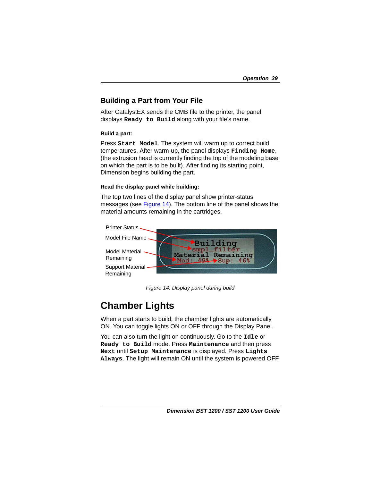### <span id="page-38-0"></span>**Building a Part from Your File**

After CatalystEX sends the CMB file to the printer, the panel displays **Ready to Build** along with your file's name.

### **Build a part:**

Press **Start Model**. The system will warm up to correct build temperatures. After warm-up, the panel displays **Finding Home**, (the extrusion head is currently finding the top of the modeling base on which the part is to be built). After finding its starting point, Dimension begins building the part.

### **Read the display panel while building:**

The top two lines of the display panel show printer-status messages (see [Figure 14](#page-38-2)). The bottom line of the panel shows the material amounts remaining in the cartridges.



*Figure 14: Display panel during build*

## <span id="page-38-2"></span><span id="page-38-1"></span>**Chamber Lights**

When a part starts to build, the chamber lights are automatically ON. You can toggle lights ON or OFF through the Display Panel.

You can also turn the light on continuously. Go to the **Idle** or **Ready to Build** mode. Press **Maintenance** and then press **Next** until **Setup Maintenance** is displayed. Press **Lights Always**. The light will remain ON until the system is powered OFF.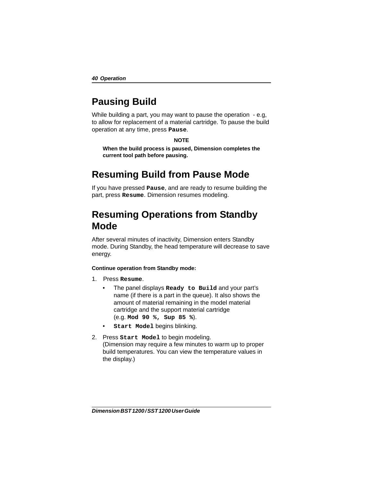## <span id="page-39-0"></span>**Pausing Build**

While building a part, you may want to pause the operation - e.g, to allow for replacement of a material cartridge. To pause the build operation at any time, press **Pause**.

### **NOTE**

**When the build process is paused, Dimension completes the current tool path before pausing.**

## <span id="page-39-1"></span>**Resuming Build from Pause Mode**

If you have pressed **Pause**, and are ready to resume building the part, press **Resume**. Dimension resumes modeling.

## <span id="page-39-2"></span>**Resuming Operations from Standby Mode**

After several minutes of inactivity, Dimension enters Standby mode. During Standby, the head temperature will decrease to save energy.

### **Continue operation from Standby mode:**

- 1. Press **Resume**.
	- The panel displays **Ready to Build** and your part's name (if there is a part in the queue). It also shows the amount of material remaining in the model material cartridge and the support material cartridge (e.g. **Mod 90 %, Sup 85 %**).
	- **Start Model begins blinking.**
- 2. Press **Start Model** to begin modeling. (Dimension may require a few minutes to warm up to proper build temperatures. You can view the temperature values in the display.)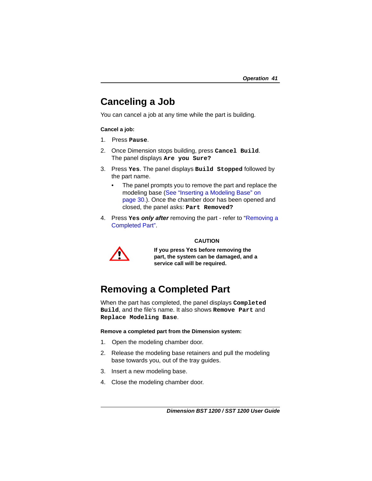## <span id="page-40-0"></span>**Canceling a Job**

You can cancel a job at any time while the part is building.

### **Cancel a job:**

- 1. Press **Pause**.
- 2. Once Dimension stops building, press **Cancel Build**. The panel displays **Are you Sure?**
- 3. Press **Yes**. The panel displays **Build Stopped** followed by the part name.
	- The panel prompts you to remove the part and replace the modeling base ([See "Inserting a Modeling Base" on](#page-29-0)  [page 30.](#page-29-0)). Once the chamber door has been opened and closed, the panel asks: **Part Removed?**
- 4. Press **Yes** *only after* removing the part refer to "[Removing a](#page-40-1)  [Completed Part"](#page-40-1).



### **CAUTION**

**If you press Yes before removing the part, the system can be damaged, and a service call will be required.**

## <span id="page-40-1"></span>**Removing a Completed Part**

When the part has completed, the panel displays **Completed Build**, and the file's name. It also shows **Remove Part** and **Replace Modeling Base**.

### **Remove a completed part from the Dimension system:**

- 1. Open the modeling chamber door.
- 2. Release the modeling base retainers and pull the modeling base towards you, out of the tray guides.
- 3. Insert a new modeling base.
- 4. Close the modeling chamber door.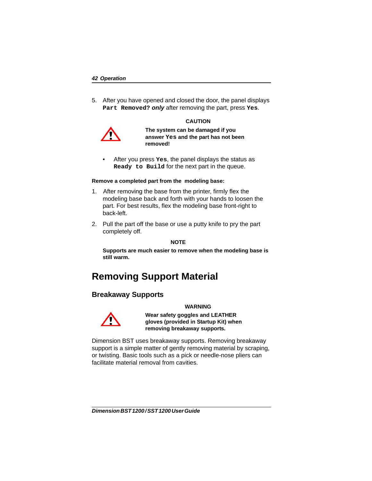5. After you have opened and closed the door, the panel displays **Part Removed?** *only* after removing the part, press **Yes**.

#### **CAUTION**



**The system can be damaged if you answer Yes and the part has not been removed!** 

• After you press **Yes**, the panel displays the status as **Ready to Build** for the next part in the queue.

#### **Remove a completed part from the modeling base:**

- 1. After removing the base from the printer, firmly flex the modeling base back and forth with your hands to loosen the part. For best results, flex the modeling base front-right to back-left.
- 2. Pull the part off the base or use a putty knife to pry the part completely off.

#### **NOTE**

**Supports are much easier to remove when the modeling base is still warm.**

## <span id="page-41-0"></span>**Removing Support Material**

### <span id="page-41-1"></span>**Breakaway Supports**

#### **WARNING**



**Wear safety goggles and LEATHER gloves (provided in Startup Kit) when removing breakaway supports.**

Dimension BST uses breakaway supports. Removing breakaway support is a simple matter of gently removing material by scraping, or twisting. Basic tools such as a pick or needle-nose pliers can facilitate material removal from cavities.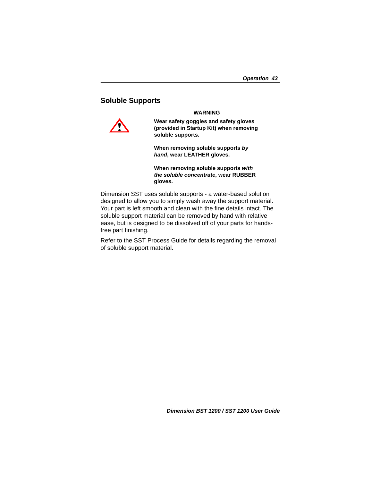### <span id="page-42-0"></span>**Soluble Supports**



**Wear safety goggles and safety gloves (provided in Startup Kit) when removing soluble supports.**

**WARNING**

**When removing soluble supports** *by hand***, wear LEATHER gloves.**

**When removing soluble supports** *with the soluble concentrate***, wear RUBBER gloves.**

Dimension SST uses soluble supports - a water-based solution designed to allow you to simply wash away the support material. Your part is left smooth and clean with the fine details intact. The soluble support material can be removed by hand with relative ease, but is designed to be dissolved off of your parts for handsfree part finishing.

Refer to the SST Process Guide for details regarding the removal of soluble support material.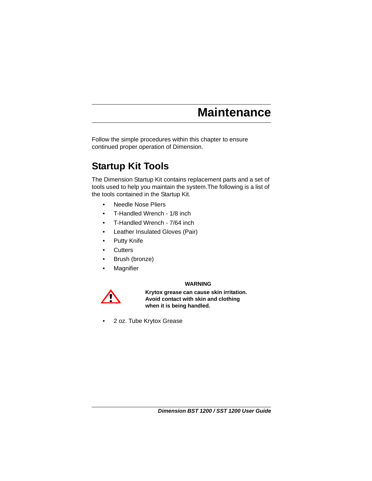<span id="page-44-0"></span>Follow the simple procedures within this chapter to ensure continued proper operation of Dimension.

## <span id="page-44-1"></span>**Startup Kit Tools**

The Dimension Startup Kit contains replacement parts and a set of tools used to help you maintain the system.The following is a list of the tools contained in the Startup Kit.

- Needle Nose Pliers
- T-Handled Wrench 1/8 inch
- T-Handled Wrench 7/64 inch
- Leather Insulated Gloves (Pair)
- Putty Knife
- Cutters
- Brush (bronze)
- **Magnifier**

### **WARNING**



**Krytox grease can cause skin irritation. Avoid contact with skin and clothing when it is being handled.**

• 2 oz. Tube Krytox Grease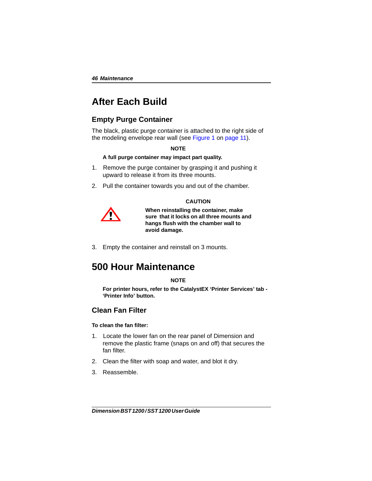## <span id="page-45-0"></span>**After Each Build**

### <span id="page-45-1"></span>**Empty Purge Container**

The black, plastic purge container is attached to the right side of the modeling envelope rear wall (see Figure 1 on page 11).

#### **NOTE**

### **A full purge container may impact part quality.**

- 1. Remove the purge container by grasping it and pushing it upward to release it from its three mounts.
- 2. Pull the container towards you and out of the chamber.

### **CAUTION**



**When reinstalling the container, make sure that it locks on all three mounts and hangs flush with the chamber wall to avoid damage.** 

3. Empty the container and reinstall on 3 mounts.

## <span id="page-45-2"></span>**500 Hour Maintenance**

### **NOTE**

**For printer hours, refer to the CatalystEX 'Printer Services' tab - 'Printer Info' button.**

### <span id="page-45-3"></span>**Clean Fan Filter**

### **To clean the fan filter:**

- 1. Locate the lower fan on the rear panel of Dimension and remove the plastic frame (snaps on and off) that secures the fan filter.
- 2. Clean the filter with soap and water, and blot it dry.
- 3. Reassemble.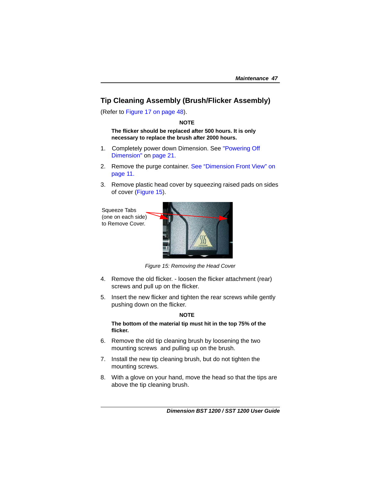### <span id="page-46-1"></span><span id="page-46-0"></span>**Tip Cleaning Assembly (Brush/Flicker Assembly)**

(Refer to Figure 17 on page 48).

### **NOTE**

**The flicker should be replaced after 500 hours. It is only necessary to replace the brush after 2000 hours.**

- 1. Completely power down Dimension. See ["Powering Off](#page-30-2)  [Dimension"](#page-30-2) on [page 21.](#page-20-1)
- 2. Remove the purge container. See "Dimension Front View" on page 11.
- 3. Remove plastic head cover by squeezing raised pads on sides of cover (Figure 15).

Squeeze Tabs (one on each side) to Remove Cover.



*Figure 15: Removing the Head Cover*

- 4. Remove the old flicker. loosen the flicker attachment (rear) screws and pull up on the flicker.
- 5. Insert the new flicker and tighten the rear screws while gently pushing down on the flicker.

### <span id="page-46-2"></span>**NOTE**

### **The bottom of the material tip must hit in the top 75% of the flicker.**

- 6. Remove the old tip cleaning brush by loosening the two mounting screws and pulling up on the brush.
- 7. Install the new tip cleaning brush, but do not tighten the mounting screws.
- 8. With a glove on your hand, move the head so that the tips are above the tip cleaning brush.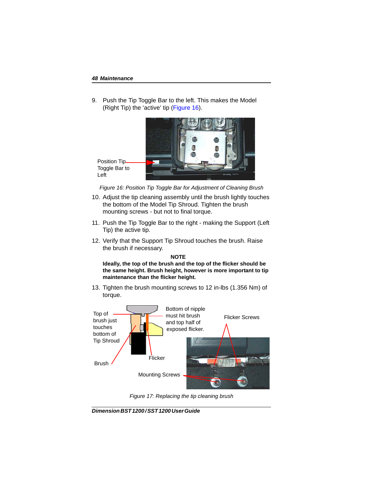9. Push the Tip Toggle Bar to the left. This makes the Model (Right Tip) the 'active' tip (Figure 16).



Position Tip Toggle Bar to Left

*Figure 16: Position Tip Toggle Bar for Adjustment of Cleaning Brush*

- 10. Adjust the tip cleaning assembly until the brush lightly touches the bottom of the Model Tip Shroud. Tighten the brush mounting screws - but not to final torque.
- 11. Push the Tip Toggle Bar to the right making the Support (Left Tip) the active tip.
- 12. Verify that the Support Tip Shroud touches the brush. Raise the brush if necessary.

### **NOTE**

**Ideally, the top of the brush and the top of the flicker should be the same height. Brush height, however is more important to tip maintenance than the flicker height.**

13. Tighten the brush mounting screws to 12 in-lbs (1.356 Nm) of torque.



*Figure 17: Replacing the tip cleaning brush*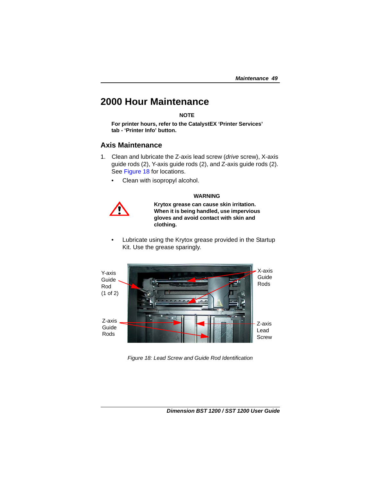## <span id="page-48-0"></span>**2000 Hour Maintenance**

**NOTE**

**For printer hours, refer to the CatalystEX 'Printer Services' tab - 'Printer Info' button.**

### <span id="page-48-1"></span>**Axis Maintenance**

- 1. Clean and lubricate the Z-axis lead screw (*drive* screw), X-axis guide rods (2), Y-axis guide rods (2), and Z-axis guide rods (2). See Figure 18 for locations.
	- Clean with isopropyl alcohol.

### **WARNING**



**Krytox grease can cause skin irritation. When it is being handled, use impervious gloves and avoid contact with skin and clothing.**

Lubricate using the Krytox grease provided in the Startup Kit. Use the grease sparingly.



*Figure 18: Lead Screw and Guide Rod Identification*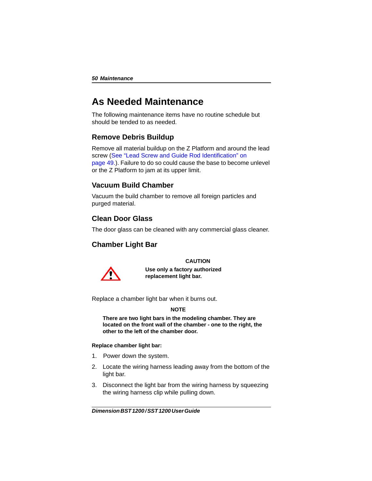## <span id="page-49-0"></span>**As Needed Maintenance**

The following maintenance items have no routine schedule but should be tended to as needed.

### <span id="page-49-1"></span>**Remove Debris Buildup**

Remove all material buildup on the Z Platform and around the lead screw (See "Lead Screw and Guide Rod Identification" on page 49.). Failure to do so could cause the base to become unlevel or the Z Platform to jam at its upper limit.

### <span id="page-49-2"></span>**Vacuum Build Chamber**

Vacuum the build chamber to remove all foreign particles and purged material.

### <span id="page-49-3"></span>**Clean Door Glass**

The door glass can be cleaned with any commercial glass cleaner.

### <span id="page-49-4"></span>**Chamber Light Bar**

### **CAUTION**



**Use only a factory authorized replacement light bar.**

Replace a chamber light bar when it burns out.

### **NOTE**

**There are two light bars in the modeling chamber. They are located on the front wall of the chamber - one to the right, the other to the left of the chamber door.**

### **Replace chamber light bar:**

- 1. Power down the system.
- 2. Locate the wiring harness leading away from the bottom of the light bar.
- 3. Disconnect the light bar from the wiring harness by squeezing the wiring harness clip while pulling down.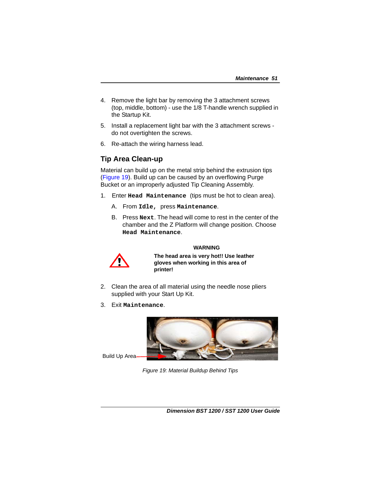- 4. Remove the light bar by removing the 3 attachment screws (top, middle, bottom) - use the 1/8 T-handle wrench supplied in the Startup Kit.
- 5. Install a replacement light bar with the 3 attachment screws do not overtighten the screws.
- 6. Re-attach the wiring harness lead.

### <span id="page-50-2"></span><span id="page-50-0"></span>**Tip Area Clean-up**

Material can build up on the metal strip behind the extrusion tips ([Figure 19](#page-50-1)). Build up can be caused by an overflowing Purge Bucket or an improperly adjusted Tip Cleaning Assembly.

- 1. Enter **Head Maintenance** (tips must be hot to clean area).
	- A. From **Idle,** press **Maintenance**.
	- B. Press **Next**. The head will come to rest in the center of the chamber and the Z Platform will change position. Choose **Head Maintenance**.

### **WARNING**



**The head area is very hot!! Use leather gloves when working in this area of printer!** 

- 2. Clean the area of all material using the needle nose pliers supplied with your Start Up Kit.
- 3. Exit **Maintenance**.



<span id="page-50-1"></span>Build Up Area

*Figure 19: Material Buildup Behind Tips*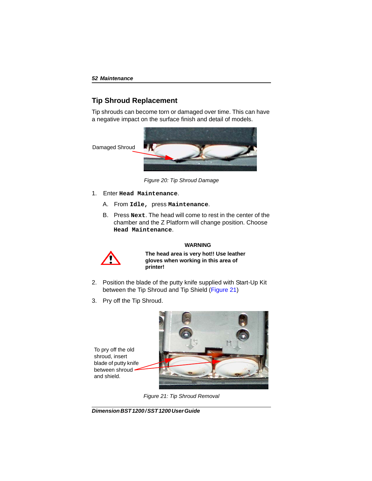### <span id="page-51-0"></span>**Tip Shroud Replacement**

Tip shrouds can become torn or damaged over time. This can have a negative impact on the surface finish and detail of models.



*Figure 20: Tip Shroud Damage*

- 1. Enter **Head Maintenance**.
	- A. From **Idle,** press **Maintenance**.
	- B. Press **Next**. The head will come to rest in the center of the chamber and the Z Platform will change position. Choose **Head Maintenance**.



### **WARNING**

**The head area is very hot!! Use leather gloves when working in this area of printer!** 

- 2. Position the blade of the putty knife supplied with Start-Up Kit between the Tip Shroud and Tip Shield [\(Figure 21\)](#page-51-1)
- 3. Pry off the Tip Shroud.

<span id="page-51-1"></span>To pry off the old shroud, insert blade of putty knife between shroud and shield.



*Figure 21: Tip Shroud Removal*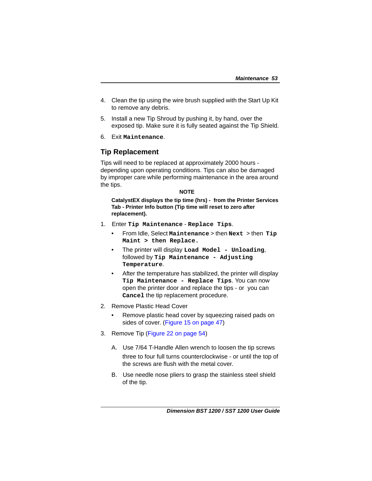- 4. Clean the tip using the wire brush supplied with the Start Up Kit to remove any debris.
- 5. Install a new Tip Shroud by pushing it, by hand, over the exposed tip. Make sure it is fully seated against the Tip Shield.
- 6. Exit **Maintenance**.

### <span id="page-52-0"></span>**Tip Replacement**

Tips will need to be replaced at approximately 2000 hours depending upon operating conditions. Tips can also be damaged by improper care while performing maintenance in the area around the tips.

### **NOTE**

**CatalystEX displays the tip time (hrs) - from the Printer Services Tab - Printer Info button (Tip time will reset to zero after replacement).**

- 1. Enter **Tip Maintenance Replace Tips**.
	- From Idle, Select **Maintenance** > then **Next** > then **Tip Maint > then Replace.**
	- The printer will display **Load Model Unloading**, followed by **Tip Maintenance - Adjusting Temperature**.
	- After the temperature has stabilized, the printer will display **Tip Maintenance - Replace Tips**. You can now open the printer door and replace the tips - or you can **Cancel** the tip replacement procedure.
- 2. Remove Plastic Head Cover
	- Remove plastic head cover by squeezing raised pads on sides of cover. (Figure 15 on page 47)
- 3. Remove Tip [\(Figure 22 on page 54](#page-53-0))
	- A. Use 7/64 T-Handle Allen wrench to loosen the tip screws three to four full turns counterclockwise - or until the top of the screws are flush with the metal cover.
	- B. Use needle nose pliers to grasp the stainless steel shield of the tip.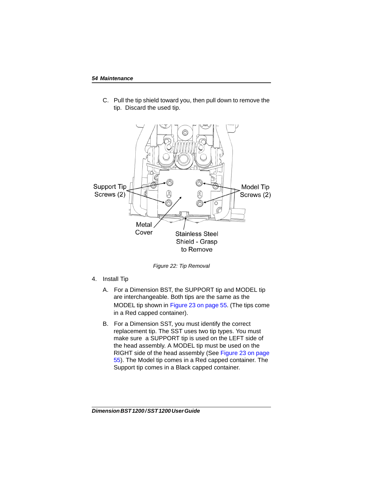C. Pull the tip shield toward you, then pull down to remove the tip. Discard the used tip.



*Figure 22: Tip Removal*

- <span id="page-53-0"></span>4. Install Tip
	- A. For a Dimension BST, the SUPPORT tip and MODEL tip are interchangeable. Both tips are the same as the MODEL tip shown in [Figure 23 on page 55.](#page-54-0) (The tips come in a Red capped container).
	- B. For a Dimension SST, you must identify the correct replacement tip. The SST uses two tip types. You must make sure a SUPPORT tip is used on the LEFT side of the head assembly. A MODEL tip must be used on the RIGHT side of the head assembly (See [Figure 23 on page](#page-54-0)  [55](#page-54-0)). The Model tip comes in a Red capped container. The Support tip comes in a Black capped container.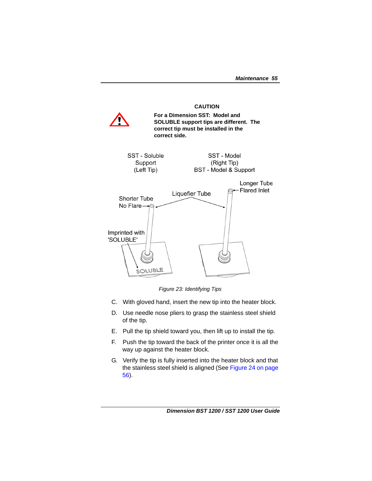#### **CAUTION**



*Figure 23: Identifying Tips*

- <span id="page-54-0"></span>C. With gloved hand, insert the new tip into the heater block.
- D. Use needle nose pliers to grasp the stainless steel shield of the tip.
- E. Pull the tip shield toward you, then lift up to install the tip.
- F. Push the tip toward the back of the printer once it is all the way up against the heater block.
- G. Verify the tip is fully inserted into the heater block and that the stainless steel shield is aligned (See [Figure 24 on page](#page-55-0)  [56\)](#page-55-0).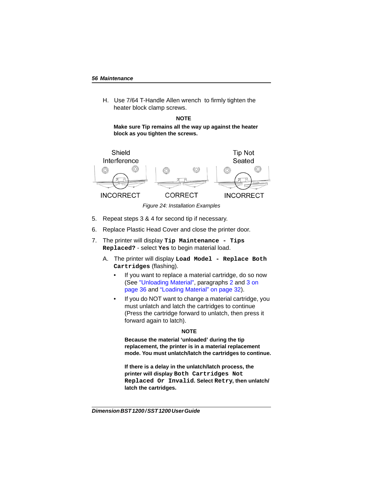H. Use 7/64 T-Handle Allen wrench to firmly tighten the heater block clamp screws.

### **NOTE**

**Make sure Tip remains all the way up against the heater block as you tighten the screws.** 



*Figure 24: Installation Examples*

- <span id="page-55-0"></span>5. Repeat steps 3 & 4 for second tip if necessary.
- 6. Replace Plastic Head Cover and close the printer door.
- 7. The printer will display **Tip Maintenance Tips Replaced?** - select **Yes** to begin material load.
	- A. The printer will display **Load Model Replace Both Cartridges** (flashing).
		- If you want to replace a material cartridge, do so now (See ["Unloading Material"](#page-34-2), paragraphs [2](#page-35-0) and [3 on](#page-35-1)  [page 36](#page-35-1) and ["Loading Material" on page 32\)](#page-31-1).
		- If you do NOT want to change a material cartridge, you must unlatch and latch the cartridges to continue (Press the cartridge forward to unlatch, then press it forward again to latch).

### **NOTE**

**Because the material 'unloaded' during the tip replacement, the printer is in a material replacement mode. You must unlatch/latch the cartridges to continue.**

**If there is a delay in the unlatch/latch process, the printer will display Both Cartridges Not Replaced Or Invalid. Select Retry, then unlatch/ latch the cartridges.**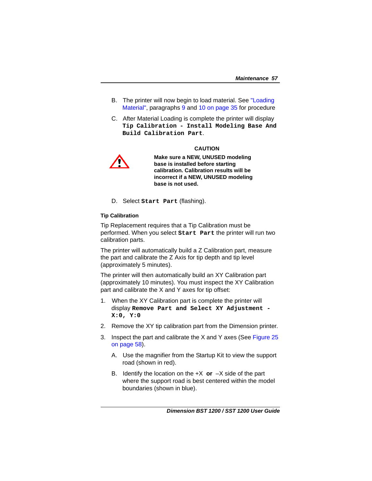- B. The printer will now begin to load material. See ["Loading](#page-31-1)  [Material",](#page-31-1) paragraphs [9](#page-33-0) and [10 on page 35](#page-34-3) for procedure
- C. After Material Loading is complete the printer will display **Tip Calibration - Install Modeling Base And Build Calibration Part**.

#### **CAUTION**



**Make sure a NEW, UNUSED modeling base is installed before starting calibration. Calibration results will be incorrect if a NEW, UNUSED modeling base is not used.**

D. Select **Start Part** (flashing).

### **Tip Calibration**

Tip Replacement requires that a Tip Calibration must be performed. When you select **Start Part** the printer will run two calibration parts.

The printer will automatically build a Z Calibration part, measure the part and calibrate the Z Axis for tip depth and tip level (approximately 5 minutes).

The printer will then automatically build an XY Calibration part (approximately 10 minutes). You must inspect the XY Calibration part and calibrate the X and Y axes for tip offset:

- 1. When the XY Calibration part is complete the printer will display **Remove Part and Select XY Adjustment - X:0, Y:0**
- 2. Remove the XY tip calibration part from the Dimension printer.
- 3. Inspect the part and calibrate the X and Y axes (See Figure 25 on page 58).
	- A. Use the magnifier from the Startup Kit to view the support road (shown in red).
	- B. Identify the location on the  $+X$  or  $-X$  side of the part where the support road is best centered within the model boundaries (shown in blue).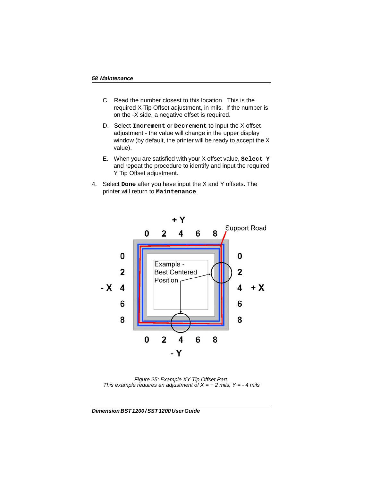- C. Read the number closest to this location. This is the required X Tip Offset adjustment, in mils. If the number is on the -X side, a negative offset is required.
- D. Select **Increment** or **Decrement** to input the X offset adjustment - the value will change in the upper display window (by default, the printer will be ready to accept the X value).
- E. When you are satisfied with your X offset value, **Select Y** and repeat the procedure to identify and input the required Y Tip Offset adjustment.
- 4. Select **Done** after you have input the X and Y offsets. The printer will return to **Maintenance**.



*Figure 25: Example XY Tip Offset Part. This example requires an adjustment of*  $X = +2$  *mils,*  $Y = -4$  *mils*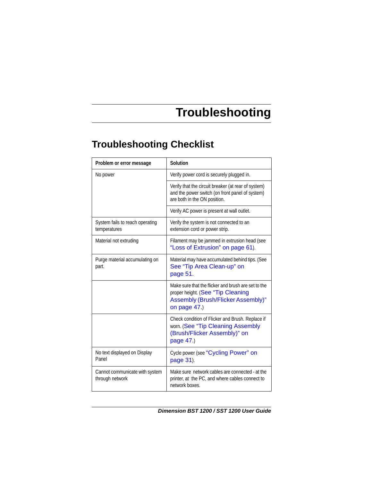# **Troubleshooting**

## <span id="page-58-1"></span><span id="page-58-0"></span>**Troubleshooting Checklist**

| Problem or error message                          | Solution                                                                                                                                       |
|---------------------------------------------------|------------------------------------------------------------------------------------------------------------------------------------------------|
| No power                                          | Verify power cord is securely plugged in.                                                                                                      |
|                                                   | Verify that the circuit breaker (at rear of system)<br>and the power switch (on front panel of system)<br>are both in the ON position.         |
|                                                   | Verify AC power is present at wall outlet.                                                                                                     |
| System fails to reach operating<br>temperatures   | Verify the system is not connected to an<br>extension cord or power strip.                                                                     |
| Material not extruding                            | Filament may be jammed in extrusion head (see<br>"Loss of Extrusion" on page 61).                                                              |
| Purge material accumulating on<br>part.           | Material may have accumulated behind tips. (See<br>See "Tip Area Clean-up" on<br>page 51.                                                      |
|                                                   | Make sure that the flicker and brush are set to the<br>proper height. (See "Tip Cleaning<br>Assembly (Brush/Flicker Assembly)"<br>on page 47.) |
|                                                   | Check condition of Flicker and Brush. Replace if<br>worn. (See "Tip Cleaning Assembly<br>(Brush/Flicker Assembly)" on<br>page 47.)             |
| No text displayed on Display<br>Panel             | Cycle power (see "Cycling Power" on<br>page 31).                                                                                               |
| Cannot communicate with system<br>through network | Make sure network cables are connected - at the<br>printer, at the PC, and where cables connect to<br>network boxes.                           |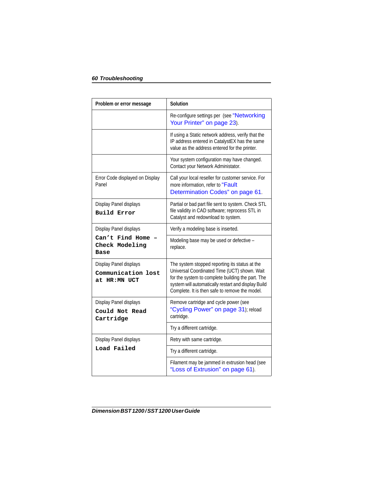| Problem or error message                                     | Solution                                                                                                                                                                                                                                                     |
|--------------------------------------------------------------|--------------------------------------------------------------------------------------------------------------------------------------------------------------------------------------------------------------------------------------------------------------|
|                                                              | Re-configure settings per (see "Networking<br>Your Printer" on page 23).                                                                                                                                                                                     |
|                                                              | If using a Static network address, verify that the<br>IP address entered in CatalystEX has the same<br>value as the address entered for the printer.                                                                                                         |
|                                                              | Your system configuration may have changed.<br>Contact your Network Administator.                                                                                                                                                                            |
| Error Code displayed on Display<br>Panel                     | Call your local reseller for customer service. For<br>more information, refer to "Fault<br>Determination Codes" on page 61.                                                                                                                                  |
| Display Panel displays<br><b>Build Error</b>                 | Partial or bad part file sent to system. Check STL<br>file validity in CAD software; reprocess STL in<br>Catalyst and redownload to system.                                                                                                                  |
| Display Panel displays                                       | Verify a modeling base is inserted.                                                                                                                                                                                                                          |
| Can't Find Home<br>Check Modeling<br>Base                    | Modeling base may be used or defective -<br>replace.                                                                                                                                                                                                         |
| Display Panel displays<br>Communication lost<br>at HR:MN UCT | The system stopped reporting its status at the<br>Universal Coordinated Time (UCT) shown. Wait<br>for the system to complete building the part. The<br>system will automatically restart and display Build<br>Complete. It is then safe to remove the model. |
| Display Panel displays<br>Could Not Read<br>Cartridge        | Remove cartridge and cycle power (see<br>"Cycling Power" on page 31); reload<br>cartridge.                                                                                                                                                                   |
|                                                              | Try a different cartridge.                                                                                                                                                                                                                                   |
| Display Panel displays                                       | Retry with same cartridge.                                                                                                                                                                                                                                   |
| Load Failed                                                  | Try a different cartridge.                                                                                                                                                                                                                                   |
|                                                              | Filament may be jammed in extrusion head (see<br>"Loss of Extrusion" on page 61).                                                                                                                                                                            |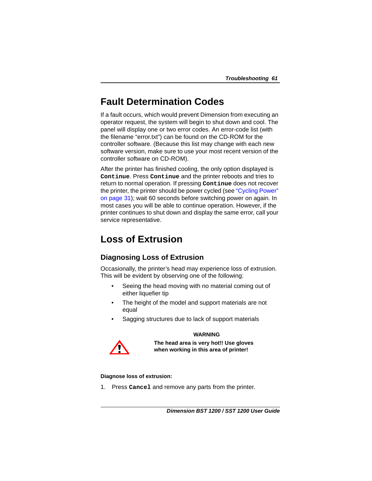## <span id="page-60-0"></span>**Fault Determination Codes**

If a fault occurs, which would prevent Dimension from executing an operator request, the system will begin to shut down and cool. The panel will display one or two error codes. An error-code list (with the filename "error.txt") can be found on the CD-ROM for the controller software. (Because this list may change with each new software version, make sure to use your most recent version of the controller software on CD-ROM).

After the printer has finished cooling, the only option displayed is **Continue**. Press **Continue** and the printer reboots and tries to return to normal operation. If pressing **Continue** does not recover the printer, the printer should be power cycled (see ["Cycling Power"](#page-30-3)  [on page 31](#page-30-3)); wait 60 seconds before switching power on again. In most cases you will be able to continue operation. However, if the printer continues to shut down and display the same error, call your service representative.

## <span id="page-60-1"></span>**Loss of Extrusion**

### <span id="page-60-2"></span>**Diagnosing Loss of Extrusion**

Occasionally, the printer's head may experience loss of extrusion. This will be evident by observing one of the following:

- Seeing the head moving with no material coming out of either liquefier tip
- The height of the model and support materials are not equal
- Sagging structures due to lack of support materials

### **WARNING**



**The head area is very hot!! Use gloves when working in this area of printer!** 

### **Diagnose loss of extrusion:**

1. Press **Cancel** and remove any parts from the printer.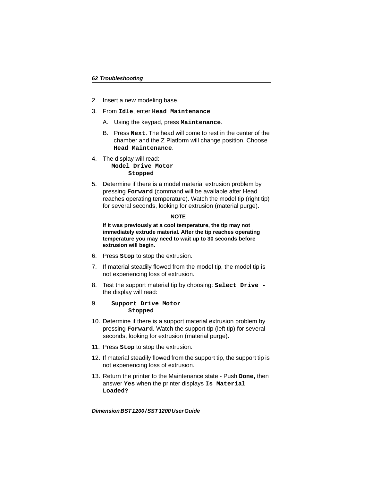- 2. Insert a new modeling base.
- 3. From **Idle**, enter **Head Maintenance**
	- A. Using the keypad, press **Maintenance**.
	- B. Press **Next**. The head will come to rest in the center of the chamber and the Z Platform will change position. Choose **Head Maintenance**.
- 4. The display will read: **Model Drive Motor Stopped**
- 5. Determine if there is a model material extrusion problem by pressing **Forward** (command will be available after Head reaches operating temperature). Watch the model tip (right tip) for several seconds, looking for extrusion (material purge).

#### **NOTE**

**If it was previously at a cool temperature, the tip may not immediately extrude material. After the tip reaches operating temperature you may need to wait up to 30 seconds before extrusion will begin.**

- 6. Press **Stop** to stop the extrusion.
- 7. If material steadily flowed from the model tip, the model tip is not experiencing loss of extrusion.
- 8. Test the support material tip by choosing: **Select Drive**  the display will read:

### 9. **Support Drive Motor Stopped**

- 10. Determine if there is a support material extrusion problem by pressing **Forward**. Watch the support tip (left tip) for several seconds, looking for extrusion (material purge).
- 11. Press **Stop** to stop the extrusion.
- 12. If material steadily flowed from the support tip, the support tip is not experiencing loss of extrusion.
- 13. Return the printer to the Maintenance state Push **Done,** then answer **Yes** when the printer displays **Is Material Loaded?**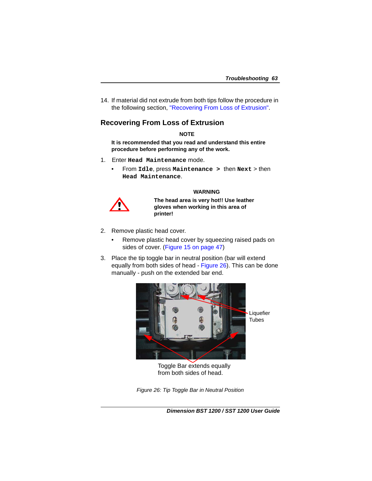14. If material did not extrude from both tips follow the procedure in the following section, ["Recovering From Loss of Extrusion"](#page-62-0).

### <span id="page-62-0"></span>**Recovering From Loss of Extrusion**

### **NOTE**

**It is recommended that you read and understand this entire procedure before performing any of the work.**

- 1. Enter **Head Maintenance** mode.
	- From **Idle**, press **Maintenance >** then **Next** > then **Head Maintenance**.

### **WARNING**



**The head area is very hot!! Use leather gloves when working in this area of printer!** 

- 2. Remove plastic head cover.
	- Remove plastic head cover by squeezing raised pads on sides of cover. ([Figure 15 on page 47](#page-46-2))
- 3. Place the tip toggle bar in neutral position (bar will extend equally from both sides of head - [Figure 26\)](#page-62-1). This can be done manually - push on the extended bar end.



Toggle Bar extends equally from both sides of head.

<span id="page-62-1"></span>*Figure 26: Tip Toggle Bar in Neutral Position*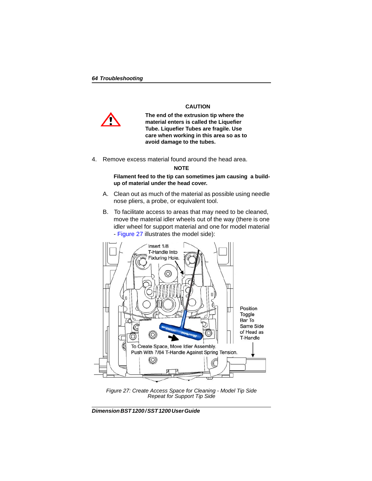

**CAUTION**

**The end of the extrusion tip where the material enters is called the Liquefier Tube. Liquefier Tubes are fragile. Use care when working in this area so as to avoid damage to the tubes.**

4. Remove excess material found around the head area.

### **NOTE**

**Filament feed to the tip can sometimes jam causing a buildup of material under the head cover.**

- A. Clean out as much of the material as possible using needle nose pliers, a probe, or equivalent tool.
- B. To facilitate access to areas that may need to be cleaned, move the material idler wheels out of the way (there is one idler wheel for support material and one for model material - Figure 27 illustrates the model side):



*Figure 27: Create Access Space for Cleaning - Model Tip Side Repeat for Support Tip Side*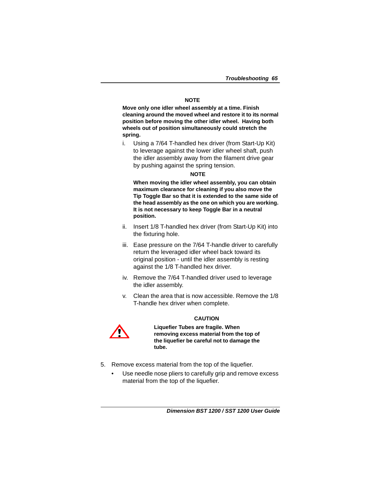### **NOTE**

**Move only one idler wheel assembly at a time. Finish cleaning around the moved wheel and restore it to its normal position before moving the other idler wheel. Having both wheels out of position simultaneously could stretch the spring.**

i. Using a 7/64 T-handled hex driver (from Start-Up Kit) to leverage against the lower idler wheel shaft, push the idler assembly away from the filament drive gear by pushing against the spring tension.

### **NOTE**

**When moving the idler wheel assembly, you can obtain maximum clearance for cleaning if you also move the Tip Toggle Bar so that it is extended to the same side of the head assembly as the one on which you are working. It is not necessary to keep Toggle Bar in a neutral position.**

- ii. Insert 1/8 T-handled hex driver (from Start-Up Kit) into the fixturing hole.
- iii. Ease pressure on the 7/64 T-handle driver to carefully return the leveraged idler wheel back toward its original position - until the idler assembly is resting against the 1/8 T-handled hex driver.
- iv. Remove the 7/64 T-handled driver used to leverage the idler assembly.
- v. Clean the area that is now accessible. Remove the 1/8 T-handle hex driver when complete.



### **CAUTION**

**Liquefier Tubes are fragile. When removing excess material from the top of the liquefier be careful not to damage the tube.** 

- 5. Remove excess material from the top of the liquefier.
	- Use needle nose pliers to carefully grip and remove excess material from the top of the liquefier.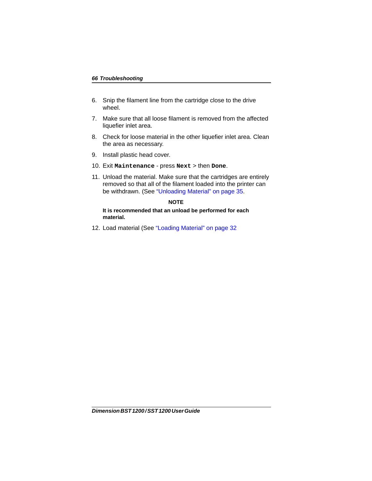- 6. Snip the filament line from the cartridge close to the drive wheel.
- 7. Make sure that all loose filament is removed from the affected liquefier inlet area.
- 8. Check for loose material in the other liquefier inlet area. Clean the area as necessary.
- 9. Install plastic head cover.
- 10. Exit **Maintenance** press **Next** > then **Done**.
- 11. Unload the material. Make sure that the cartridges are entirely removed so that all of the filament loaded into the printer can be withdrawn. (See ["Unloading Material" on page 35](#page-34-2).

### **NOTE**

**It is recommended that an unload be performed for each material.**

12. Load material (See ["Loading Material" on page 32](#page-31-1)